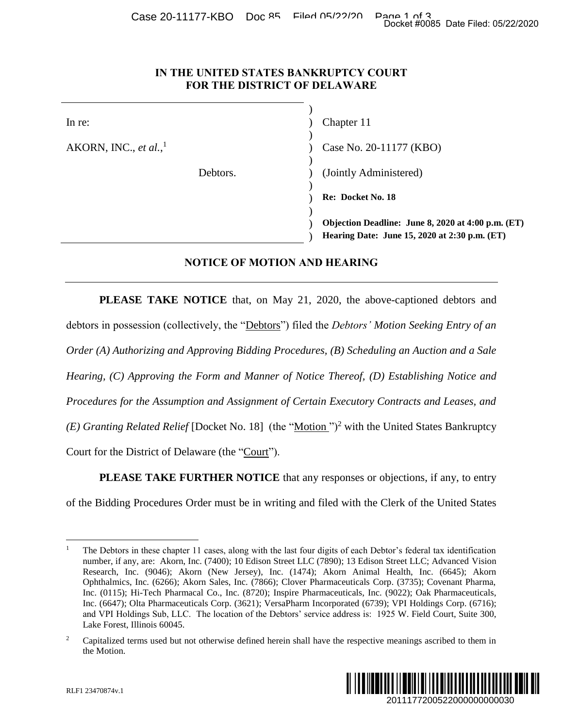## **IN THE UNITED STATES BANKRUPTCY COURT FOR THE DISTRICT OF DELAWARE**

|                                                                               | Docket #0085 Date Filed: 05/22/2020                                                                                                                                                                                                                                                                                                                                                                                                                                                                                                                                                                                                                                                                                                                                                                                                                                                                             |
|-------------------------------------------------------------------------------|-----------------------------------------------------------------------------------------------------------------------------------------------------------------------------------------------------------------------------------------------------------------------------------------------------------------------------------------------------------------------------------------------------------------------------------------------------------------------------------------------------------------------------------------------------------------------------------------------------------------------------------------------------------------------------------------------------------------------------------------------------------------------------------------------------------------------------------------------------------------------------------------------------------------|
| IN THE UNITED STATES BANKRUPTCY COURT<br>FOR THE DISTRICT OF DELAWARE         |                                                                                                                                                                                                                                                                                                                                                                                                                                                                                                                                                                                                                                                                                                                                                                                                                                                                                                                 |
| In re:                                                                        | Chapter 11                                                                                                                                                                                                                                                                                                                                                                                                                                                                                                                                                                                                                                                                                                                                                                                                                                                                                                      |
| AKORN, INC., et al., $^1$                                                     | Case No. 20-11177 (KBO)                                                                                                                                                                                                                                                                                                                                                                                                                                                                                                                                                                                                                                                                                                                                                                                                                                                                                         |
| Debtors.                                                                      | (Jointly Administered)                                                                                                                                                                                                                                                                                                                                                                                                                                                                                                                                                                                                                                                                                                                                                                                                                                                                                          |
|                                                                               | Re: Docket No. 18                                                                                                                                                                                                                                                                                                                                                                                                                                                                                                                                                                                                                                                                                                                                                                                                                                                                                               |
|                                                                               | Objection Deadline: June 8, 2020 at 4:00 p.m. (ET)<br>Hearing Date: June 15, 2020 at 2:30 p.m. (ET)                                                                                                                                                                                                                                                                                                                                                                                                                                                                                                                                                                                                                                                                                                                                                                                                             |
| <b>NOTICE OF MOTION AND HEARING</b>                                           |                                                                                                                                                                                                                                                                                                                                                                                                                                                                                                                                                                                                                                                                                                                                                                                                                                                                                                                 |
|                                                                               | <b>PLEASE TAKE NOTICE</b> that, on May 21, 2020, the above-captioned debtors and                                                                                                                                                                                                                                                                                                                                                                                                                                                                                                                                                                                                                                                                                                                                                                                                                                |
|                                                                               | debtors in possession (collectively, the "Debtors") filed the Debtors' Motion Seeking Entry of an                                                                                                                                                                                                                                                                                                                                                                                                                                                                                                                                                                                                                                                                                                                                                                                                               |
|                                                                               | Order (A) Authorizing and Approving Bidding Procedures, (B) Scheduling an Auction and a Sale                                                                                                                                                                                                                                                                                                                                                                                                                                                                                                                                                                                                                                                                                                                                                                                                                    |
|                                                                               | Hearing, (C) Approving the Form and Manner of Notice Thereof, (D) Establishing Notice and                                                                                                                                                                                                                                                                                                                                                                                                                                                                                                                                                                                                                                                                                                                                                                                                                       |
|                                                                               | Procedures for the Assumption and Assignment of Certain Executory Contracts and Leases, and                                                                                                                                                                                                                                                                                                                                                                                                                                                                                                                                                                                                                                                                                                                                                                                                                     |
|                                                                               | (E) Granting Related Relief [Docket No. 18] (the "Motion") <sup>2</sup> with the United States Bankruptcy                                                                                                                                                                                                                                                                                                                                                                                                                                                                                                                                                                                                                                                                                                                                                                                                       |
| Court for the District of Delaware (the "Court").                             |                                                                                                                                                                                                                                                                                                                                                                                                                                                                                                                                                                                                                                                                                                                                                                                                                                                                                                                 |
|                                                                               | <b>PLEASE TAKE FURTHER NOTICE</b> that any responses or objections, if any, to entry                                                                                                                                                                                                                                                                                                                                                                                                                                                                                                                                                                                                                                                                                                                                                                                                                            |
|                                                                               | of the Bidding Procedures Order must be in writing and filed with the Clerk of the United States                                                                                                                                                                                                                                                                                                                                                                                                                                                                                                                                                                                                                                                                                                                                                                                                                |
| $\mathbf{1}$<br>Lake Forest, Illinois 60045.<br>$\overline{c}$<br>the Motion. | The Debtors in these chapter 11 cases, along with the last four digits of each Debtor's federal tax identification<br>number, if any, are: Akorn, Inc. (7400); 10 Edison Street LLC (7890); 13 Edison Street LLC; Advanced Vision<br>Research, Inc. (9046); Akorn (New Jersey), Inc. (1474); Akorn Animal Health, Inc. (6645); Akorn<br>Ophthalmics, Inc. (6266); Akorn Sales, Inc. (7866); Clover Pharmaceuticals Corp. (3735); Covenant Pharma,<br>Inc. (0115); Hi-Tech Pharmacal Co., Inc. (8720); Inspire Pharmaceuticals, Inc. (9022); Oak Pharmaceuticals,<br>Inc. (6647); Olta Pharmaceuticals Corp. (3621); VersaPharm Incorporated (6739); VPI Holdings Corp. (6716);<br>and VPI Holdings Sub, LLC. The location of the Debtors' service address is: 1925 W. Field Court, Suite 300,<br>Capitalized terms used but not otherwise defined herein shall have the respective meanings ascribed to them in |
| RLF1 23470874v.1                                                              | 2011177200522000000000030                                                                                                                                                                                                                                                                                                                                                                                                                                                                                                                                                                                                                                                                                                                                                                                                                                                                                       |

## **NOTICE OF MOTION AND HEARING**

<sup>&</sup>lt;sup>2</sup> Capitalized terms used but not otherwise defined herein shall have the respective meanings ascribed to them in the Motion.



 $\overline{a}$ <sup>1</sup> The Debtors in these chapter 11 cases, along with the last four digits of each Debtor's federal tax identification number, if any, are: Akorn, Inc. (7400); 10 Edison Street LLC (7890); 13 Edison Street LLC; Advanced Vision Research, Inc. (9046); Akorn (New Jersey), Inc. (1474); Akorn Animal Health, Inc. (6645); Akorn Ophthalmics, Inc. (6266); Akorn Sales, Inc. (7866); Clover Pharmaceuticals Corp. (3735); Covenant Pharma, Inc. (0115); Hi-Tech Pharmacal Co., Inc. (8720); Inspire Pharmaceuticals, Inc. (9022); Oak Pharmaceuticals, Inc. (6647); Olta Pharmaceuticals Corp. (3621); VersaPharm Incorporated (6739); VPI Holdings Corp. (6716); and VPI Holdings Sub, LLC. The location of the Debtors' service address is: 1925 W. Field Court, Suite 300, Lake Forest, Illinois 60045.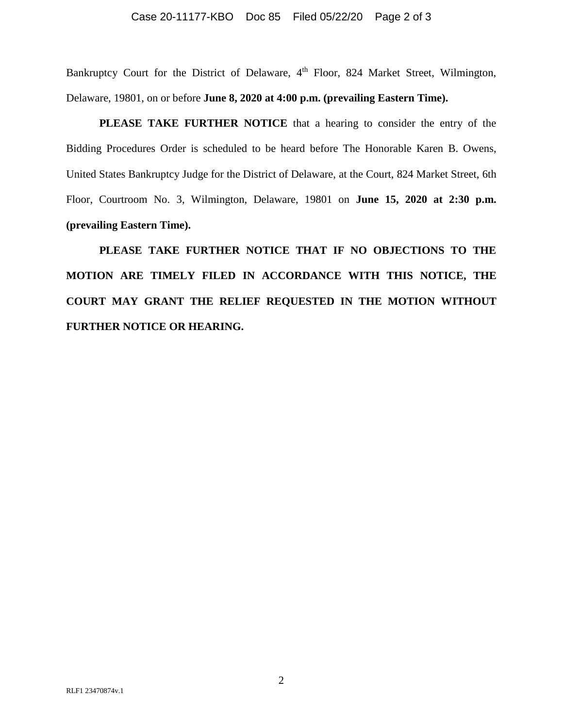### Case 20-11177-KBO Doc 85 Filed 05/22/20 Page 2 of 3

Bankruptcy Court for the District of Delaware, 4<sup>th</sup> Floor, 824 Market Street, Wilmington, Delaware, 19801, on or before **June 8, 2020 at 4:00 p.m. (prevailing Eastern Time).**

**PLEASE TAKE FURTHER NOTICE** that a hearing to consider the entry of the Bidding Procedures Order is scheduled to be heard before The Honorable Karen B. Owens, United States Bankruptcy Judge for the District of Delaware, at the Court, 824 Market Street, 6th Floor, Courtroom No. 3, Wilmington, Delaware, 19801 on **June 15, 2020 at 2:30 p.m. (prevailing Eastern Time).**

**PLEASE TAKE FURTHER NOTICE THAT IF NO OBJECTIONS TO THE MOTION ARE TIMELY FILED IN ACCORDANCE WITH THIS NOTICE, THE COURT MAY GRANT THE RELIEF REQUESTED IN THE MOTION WITHOUT FURTHER NOTICE OR HEARING.**